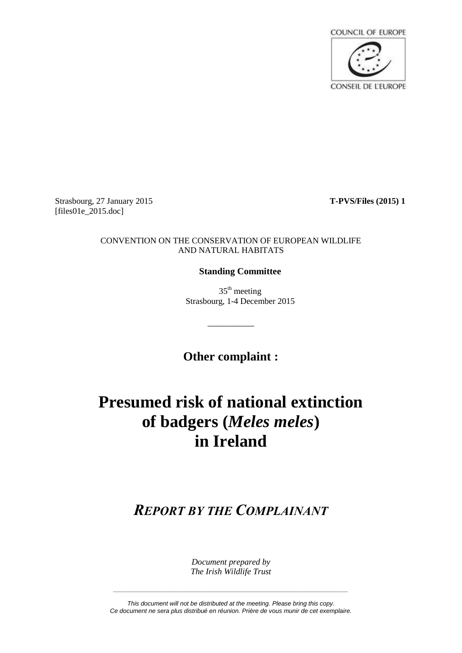

Strasbourg, 27 January 2015 **T-PVS/Files (2015) 1**  $[files01e 2015.doc]$ 

## CONVENTION ON THE CONSERVATION OF EUROPEAN WILDLIFE AND NATURAL HABITATS

## **Standing Committee**

 $35<sup>th</sup>$  meeting Strasbourg, 1-4 December 2015

**Other complaint :**

\_\_\_\_\_\_\_\_\_\_

## **Presumed risk of national extinction of badgers (***Meles meles***) in Ireland**

*REPORT BY THE COMPLAINANT*

*Document prepared by The Irish Wildlife Trust*

*This document will not be distributed at the meeting. Please bring this copy. Ce document ne sera plus distribué en réunion. Prière de vous munir de cet exemplaire.*

*\_\_\_\_\_\_\_\_\_\_\_\_\_\_\_\_\_\_\_\_\_\_\_\_\_\_\_\_\_\_\_\_\_\_\_\_\_\_\_\_\_\_\_\_\_\_\_\_\_\_\_\_\_\_\_\_\_\_\_\_\_\_\_\_\_\_\_\_*